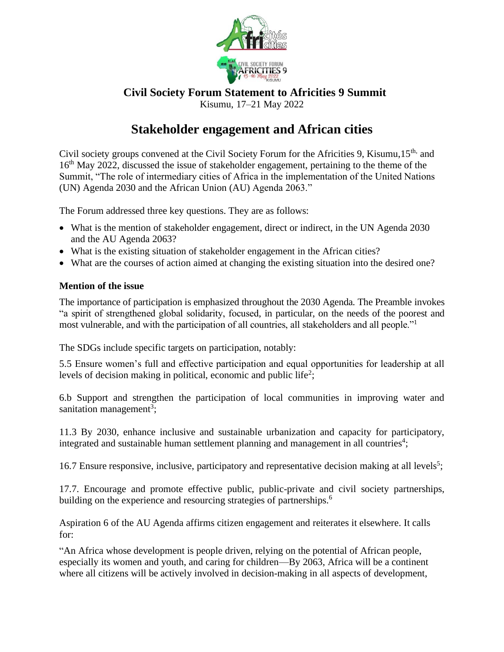

## **Civil Society Forum Statement to Africities 9 Summit** Kisumu, 17–21 May 2022

# **Stakeholder engagement and African cities**

Civil society groups convened at the Civil Society Forum for the Africities 9, Kisumu, 15<sup>th,</sup> and 16<sup>th</sup> May 2022, discussed the issue of stakeholder engagement, pertaining to the theme of the Summit, "The role of intermediary cities of Africa in the implementation of the United Nations (UN) Agenda 2030 and the African Union (AU) Agenda 2063."

The Forum addressed three key questions. They are as follows:

- What is the mention of stakeholder engagement, direct or indirect, in the UN Agenda 2030 and the AU Agenda 2063?
- What is the existing situation of stakeholder engagement in the African cities?
- What are the courses of action aimed at changing the existing situation into the desired one?

## **Mention of the issue**

The importance of participation is emphasized throughout the 2030 Agenda. The Preamble invokes "a spirit of strengthened global solidarity, focused, in particular, on the needs of the poorest and most vulnerable, and with the participation of all countries, all stakeholders and all people."<sup>1</sup>

The SDGs include specific targets on participation, notably:

5.5 Ensure women's full and effective participation and equal opportunities for leadership at all levels of decision making in political, economic and public life<sup>2</sup>;

6.b Support and strengthen the participation of local communities in improving water and sanitation management<sup>3</sup>;

11.3 By 2030, enhance inclusive and sustainable urbanization and capacity for participatory, integrated and sustainable human settlement planning and management in all countries<sup>4</sup>;

16.7 Ensure responsive, inclusive, participatory and representative decision making at all levels<sup>5</sup>;

17.7. Encourage and promote effective public, public-private and civil society partnerships, building on the experience and resourcing strategies of partnerships.<sup>6</sup>

Aspiration 6 of the AU Agenda affirms citizen engagement and reiterates it elsewhere. It calls for:

"An Africa whose development is people driven, relying on the potential of African people, especially its women and youth, and caring for children—By 2063, Africa will be a continent where all citizens will be actively involved in decision-making in all aspects of development,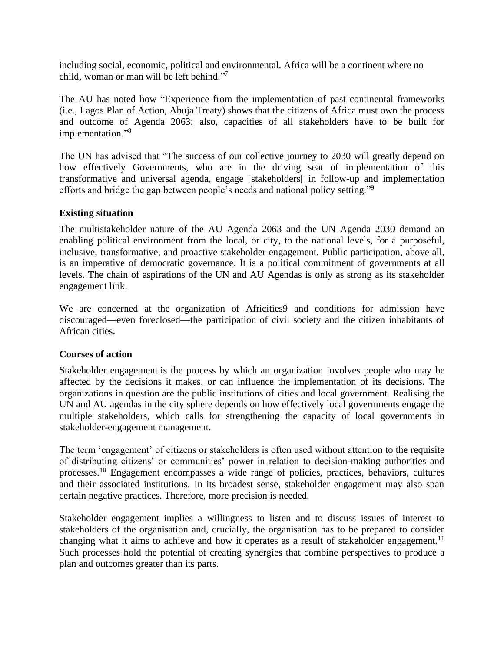including social, economic, political and environmental. Africa will be a continent where no child, woman or man will be left behind." 7

The AU has noted how "Experience from the implementation of past continental frameworks (i.e., Lagos Plan of Action, Abuja Treaty) shows that the citizens of Africa must own the process and outcome of Agenda 2063; also, capacities of all stakeholders have to be built for implementation." 8

The UN has advised that "The success of our collective journey to 2030 will greatly depend on how effectively Governments, who are in the driving seat of implementation of this transformative and universal agenda, engage [stakeholders[ in follow-up and implementation efforts and bridge the gap between people's needs and national policy setting."<sup>9</sup>

### **Existing situation**

The multistakeholder nature of the AU Agenda 2063 and the UN Agenda 2030 demand an enabling political environment from the local, or city, to the national levels, for a purposeful, inclusive, transformative, and proactive stakeholder engagement. Public participation, above all, is an imperative of democratic governance. It is a political commitment of governments at all levels. The chain of aspirations of the UN and AU Agendas is only as strong as its stakeholder engagement link.

We are concerned at the organization of Africities9 and conditions for admission have discouraged—even foreclosed—the participation of civil society and the citizen inhabitants of African cities.

#### **Courses of action**

Stakeholder engagement is the process by which an organization involves people who may be affected by the decisions it makes, or can influence the implementation of its decisions. The organizations in question are the public institutions of cities and local government. Realising the UN and AU agendas in the city sphere depends on how effectively local governments engage the multiple stakeholders, which calls for strengthening the capacity of local governments in stakeholder-engagement management.

The term 'engagement' of citizens or stakeholders is often used without attention to the requisite of distributing citizens' or communities' power in relation to decision-making authorities and processes.<sup>10</sup> Engagement encompasses a wide range of policies, practices, behaviors, cultures and their associated institutions. In its broadest sense, stakeholder engagement may also span certain negative practices. Therefore, more precision is needed.

Stakeholder engagement implies a willingness to listen and to discuss issues of interest to stakeholders of the organisation and, crucially, the organisation has to be prepared to consider changing what it aims to achieve and how it operates as a result of stakeholder engagement.<sup>11</sup> Such processes hold the potential of creating synergies that combine perspectives to produce a plan and outcomes greater than its parts.